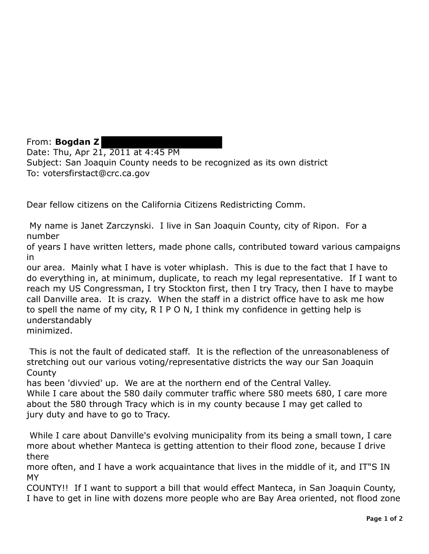From: **Bogdan Z**  Date: Thu, Apr 21, 2011 at 4:45 PM Subject: San Joaquin County needs to be recognized as its own district To: votersfirstact@crc.ca.gov

Dear fellow citizens on the California Citizens Redistricting Comm.

My name is Janet Zarczynski. I live in San Joaquin County, city of Ripon. For a number

of years I have written letters, made phone calls, contributed toward various campaigns in

our area. Mainly what I have is voter whiplash. This is due to the fact that I have to do everything in, at minimum, duplicate, to reach my legal representative. If I want to reach my US Congressman, I try Stockton first, then I try Tracy, then I have to maybe call Danville area. It is crazy. When the staff in a district office have to ask me how to spell the name of my city, R I P O N, I think my confidence in getting help is understandably

minimized.

This is not the fault of dedicated staff. It is the reflection of the unreasonableness of stretching out our various voting/representative districts the way our San Joaquin **County** 

has been 'divvied' up. We are at the northern end of the Central Valley.

While I care about the 580 daily commuter traffic where 580 meets 680, I care more about the 580 through Tracy which is in my county because I may get called to jury duty and have to go to Tracy.

While I care about Danville's evolving municipality from its being a small town, I care more about whether Manteca is getting attention to their flood zone, because I drive there

more often, and I have a work acquaintance that lives in the middle of it, and IT"S IN MY

COUNTY!! If I want to support a bill that would effect Manteca, in San Joaquin County, I have to get in line with dozens more people who are Bay Area oriented, not flood zone